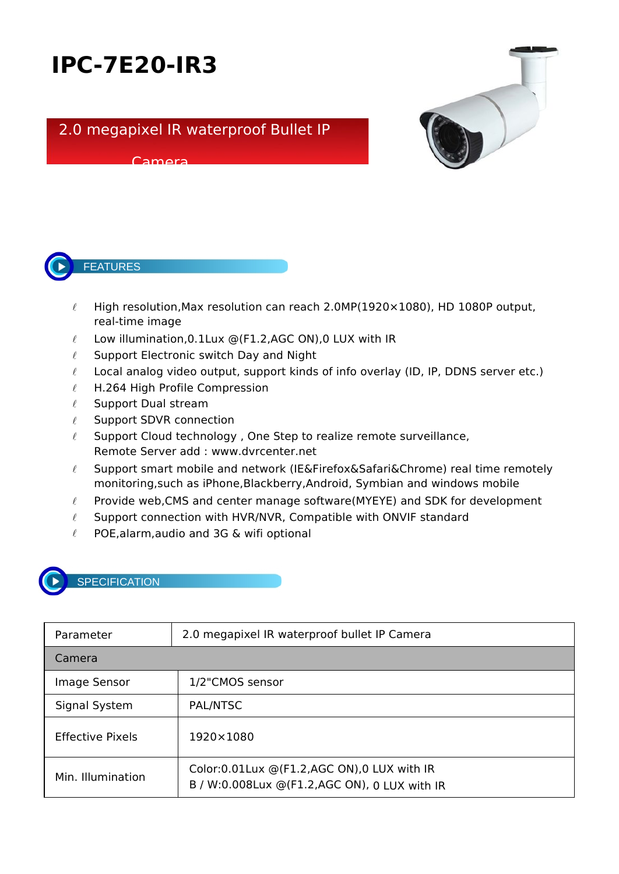## **IPC-7E20-IR3**

## 2.0 megapixel IR waterproof Bullet IP

Camera





## FEATURES

- $\ell$  High resolution, Max resolution can reach 2.0MP(1920×1080), HD 1080P output, real-time image
- $\ell$  Low illumination, 0.1Lux @(F1.2, AGC ON), 0 LUX with IR
- $\ell$  Support Electronic switch Day and Night
- $\ell$  Local analog video output, support kinds of info overlay (ID, IP, DDNS server etc.)
- $\ell$  H.264 High Profile Compression
- $\ell$  Support Dual stream
- $\ell$  Support SDVR connection
- $\ell$  Support Cloud technology, One Step to realize remote surveillance, Remote Server add : www.dvrcenter.net
- $\ell$  Support smart mobile and network (IE&Firefox&Safari&Chrome) real time remotely monitoring,such as iPhone,Blackberry,Android, Symbian and windows mobile
- $\ell$  Provide web, CMS and center manage software (MYEYE) and SDK for development
- $\ell$  Support connection with HVR/NVR, Compatible with ONVIF standard
- $\ell$  POE, alarm, audio and 3G & wifi optional



## **SPECIFICATION**

| Parameter               | 2.0 megapixel IR waterproof bullet IP Camera                                                            |  |
|-------------------------|---------------------------------------------------------------------------------------------------------|--|
| Camera                  |                                                                                                         |  |
| Image Sensor            | 1/2"CMOS sensor                                                                                         |  |
| Signal System           | PAL/NTSC                                                                                                |  |
| <b>Effective Pixels</b> | 1920×1080                                                                                               |  |
| Min. Illumination       | Color: $0.01$ Lux $\odot$ (F1.2, AGC ON), 0 LUX with IR<br>B / W:0.008Lux @(F1.2,AGC ON), 0 LUX with IR |  |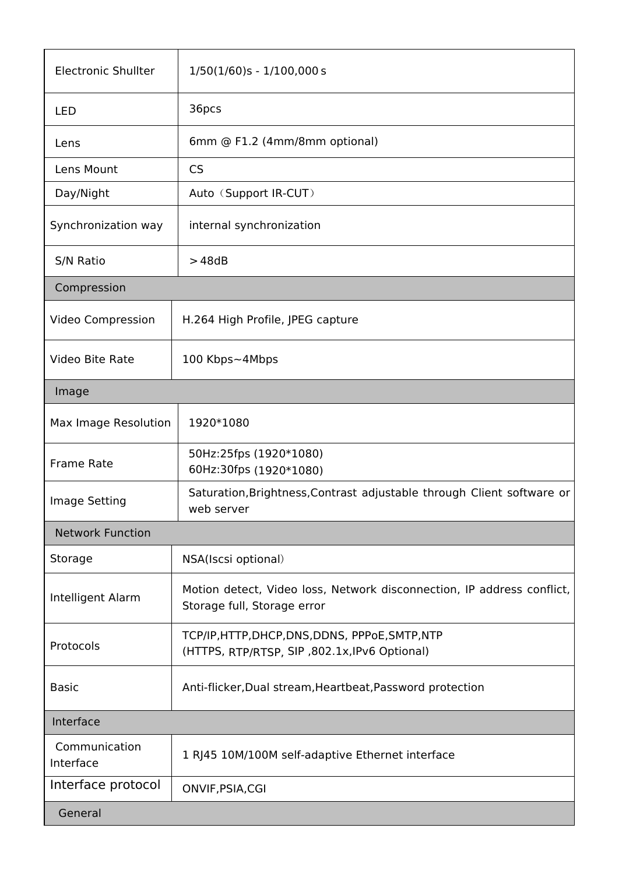| <b>Electronic Shullter</b> | $1/50(1/60)s - 1/100,000s$                                                                            |  |  |
|----------------------------|-------------------------------------------------------------------------------------------------------|--|--|
| <b>LED</b>                 | 36pcs                                                                                                 |  |  |
| Lens                       | 6mm @ F1.2 (4mm/8mm optional)                                                                         |  |  |
| Lens Mount                 | <b>CS</b>                                                                                             |  |  |
| Day/Night                  | Auto (Support IR-CUT)                                                                                 |  |  |
| Synchronization way        | internal synchronization                                                                              |  |  |
| S/N Ratio                  | >48dB                                                                                                 |  |  |
| Compression                |                                                                                                       |  |  |
| Video Compression          | H.264 High Profile, JPEG capture                                                                      |  |  |
| Video Bite Rate            | 100 Kbps~4Mbps                                                                                        |  |  |
| Image                      |                                                                                                       |  |  |
| Max Image Resolution       | 1920*1080                                                                                             |  |  |
| Frame Rate                 | 50Hz:25fps (1920*1080)<br>60Hz:30fps (1920*1080)                                                      |  |  |
| Image Setting              | Saturation, Brightness, Contrast adjustable through Client software or<br>web server                  |  |  |
| <b>Network Function</b>    |                                                                                                       |  |  |
| Storage                    | NSA(Iscsi optional)                                                                                   |  |  |
| Intelligent Alarm          | Motion detect, Video loss, Network disconnection, IP address conflict,<br>Storage full, Storage error |  |  |
| Protocols                  | TCP/IP,HTTP,DHCP,DNS,DDNS, PPPoE,SMTP,NTP<br>(HTTPS, RTP/RTSP, SIP, 802.1x, IPv6 Optional)            |  |  |
| <b>Basic</b>               | Anti-flicker, Dual stream, Heartbeat, Password protection                                             |  |  |
| Interface                  |                                                                                                       |  |  |
| Communication<br>Interface | 1 RJ45 10M/100M self-adaptive Ethernet interface                                                      |  |  |
| Interface protocol         | ONVIF, PSIA, CGI                                                                                      |  |  |
| General                    |                                                                                                       |  |  |